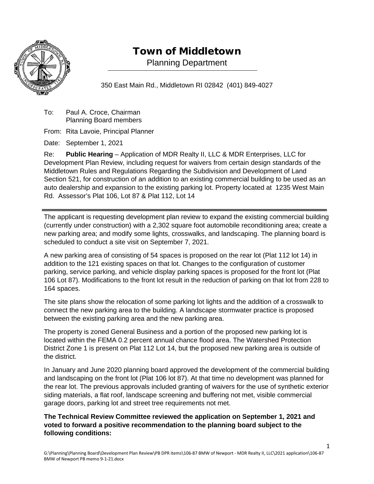

## Town of Middletown

Planning Department

350 East Main Rd., Middletown RI 02842 (401) 849-4027

To: Paul A. Croce, Chairman Planning Board members

From: Rita Lavoie, Principal Planner

Date: September 1, 2021

Re: **Public Hearing** – Application of MDR Realty II, LLC & MDR Enterprises, LLC for Development Plan Review, including request for waivers from certain design standards of the Middletown Rules and Regulations Regarding the Subdivision and Development of Land Section 521, for construction of an addition to an existing commercial building to be used as an auto dealership and expansion to the existing parking lot. Property located at 1235 West Main Rd. Assessor's Plat 106, Lot 87 & Plat 112, Lot 14

The applicant is requesting development plan review to expand the existing commercial building (currently under construction) with a 2,302 square foot automobile reconditioning area; create a new parking area; and modify some lights, crosswalks, and landscaping. The planning board is scheduled to conduct a site visit on September 7, 2021.

A new parking area of consisting of 54 spaces is proposed on the rear lot (Plat 112 lot 14) in addition to the 121 existing spaces on that lot. Changes to the configuration of customer parking, service parking, and vehicle display parking spaces is proposed for the front lot (Plat 106 Lot 87). Modifications to the front lot result in the reduction of parking on that lot from 228 to 164 spaces.

The site plans show the relocation of some parking lot lights and the addition of a crosswalk to connect the new parking area to the building. A landscape stormwater practice is proposed between the existing parking area and the new parking area.

The property is zoned General Business and a portion of the proposed new parking lot is located within the FEMA 0.2 percent annual chance flood area. The Watershed Protection District Zone 1 is present on Plat 112 Lot 14, but the proposed new parking area is outside of the district.

In January and June 2020 planning board approved the development of the commercial building and landscaping on the front lot (Plat 106 lot 87). At that time no development was planned for the rear lot. The previous approvals included granting of waivers for the use of synthetic exterior siding materials, a flat roof, landscape screening and buffering not met, visible commercial garage doors, parking lot and street tree requirements not met.

**The Technical Review Committee reviewed the application on September 1, 2021 and voted to forward a positive recommendation to the planning board subject to the following conditions:**